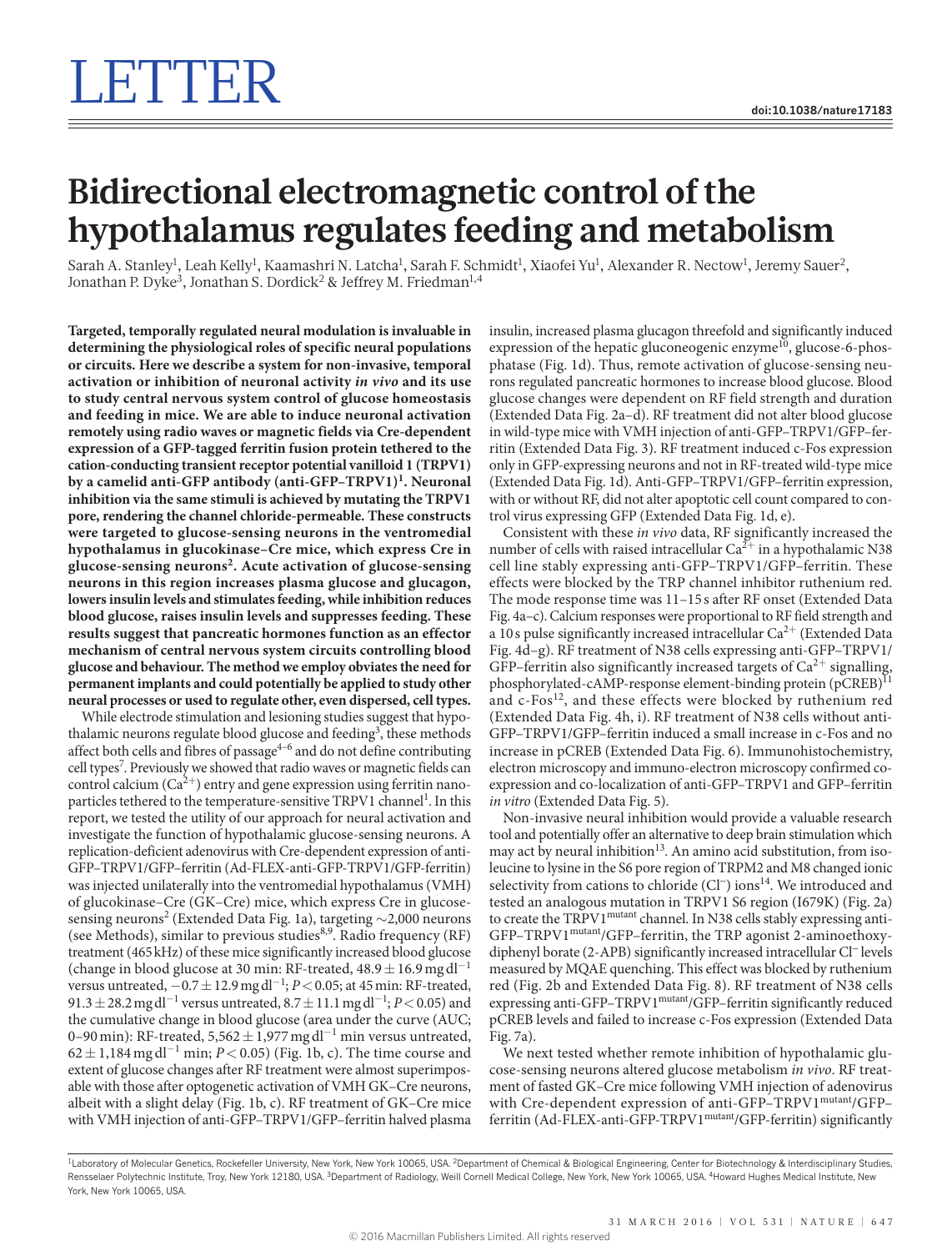## **Bidirectional electromagnetic control of the hypothalamus regulates feeding and metabolism**

Sarah A. Stanley<sup>1</sup>, Leah Kelly<sup>1</sup>, Kaamashri N. Latcha<sup>1</sup>, Sarah F. Schmidt<sup>1</sup>, Xiaofei Yu<sup>1</sup>, Alexander R. Nectow<sup>1</sup>, Jeremy Sauer<sup>2</sup>, Jonathan P. Dyke<sup>3</sup>, Jonathan S. Dordick<sup>2</sup> & Jeffrey M. Friedman<sup>1,4</sup>

**Targeted, temporally regulated neural modulation is invaluable in determining the physiological roles of specific neural populations or circuits. Here we describe a system for non-invasive, temporal activation or inhibition of neuronal activity** *in vivo* **and its use to study central nervous system control of glucose homeostasis and feeding in mice. We are able to induce neuronal activation remotely using radio waves or magnetic fields via Cre-dependent expression of a GFP-tagged ferritin fusion protein tethered to the cation-conducting transient receptor potential vanilloid 1 (TRPV1) by a camelid anti-GFP antibody (anti-GFP–TRPV1)<sup>1</sup> . Neuronal inhibition via the same stimuli is achieved by mutating the TRPV1 pore, rendering the channel chloride-permeable. These constructs were targeted to glucose-sensing neurons in the ventromedial hypothalamus in glucokinase–Cre mice, which express Cre in glucose-sensing neurons<sup>2</sup> . Acute activation of glucose-sensing neurons in this region increases plasma glucose and glucagon, lowers insulin levels and stimulates feeding, while inhibition reduces blood glucose, raises insulin levels and suppresses feeding. These results suggest that pancreatic hormones function as an effector mechanism of central nervous system circuits controlling blood glucose and behaviour. The method we employ obviates the need for permanent implants and could potentially be applied to study other neural processes or used to regulate other, even dispersed, cell types.**

While electrode stimulation and lesioning studies suggest that hypothalamic neurons regulate blood glucose and feeding<sup>3</sup>, these methods affect both cells and fibres of passage $4-6$  and do not define contributing cell types<sup>7</sup>. Previously we showed that radio waves or magnetic fields can control calcium  $(Ca^{2+})$  entry and gene expression using ferritin nanoparticles tethered to the temperature-sensitive TRPV1 channel<sup>1</sup>. In this report, we tested the utility of our approach for neural activation and investigate the function of hypothalamic glucose-sensing neurons. A replication-deficient adenovirus with Cre-dependent expression of anti-GFP–TRPV1/GFP–ferritin (Ad-FLEX-anti-GFP-TRPV1/GFP-ferritin) was injected unilaterally into the ventromedial hypothalamus (VMH) of glucokinase–Cre (GK–Cre) mice, which express Cre in glucose-sensing neurons<sup>2</sup> ([Extended Data Fig. 1a\)](#page--1-0), targeting  $\sim$  2,000 neurons (see Methods), similar to previous studies<sup>8,9</sup>. Radio frequency (RF) treatment (465kHz) of these mice significantly increased blood glucose (change in blood glucose at 30 min: RF-treated,  $48.9 \pm 16.9$  mg dl<sup>-1</sup> versus untreated, −0.7±12.9mgdl<sup>−</sup><sup>1</sup> ; *P*<0.05; at 45min: RF-treated, 91.3 ± 28.2 mg dl<sup>-1</sup> versus untreated, 8.7 ± 11.1 mg dl<sup>-1</sup>; *P* < 0.05) and the cumulative change in blood glucose (area under the curve (AUC; 0–90 min): RF-treated, 5,562 $\pm$ 1,977 mg dl<sup>-1</sup> min versus untreated,  $62 \pm 1,184$  mg dl<sup>-1</sup> min; *P* < 0.05) ([Fig. 1b, c\)](#page-1-0). The time course and extent of glucose changes after RF treatment were almost superimposable with those after optogenetic activation of VMH GK–Cre neurons, albeit with a slight delay [\(Fig. 1b, c\)](#page-1-0). RF treatment of GK–Cre mice with VMH injection of anti-GFP–TRPV1/GFP–ferritin halved plasma

insulin, increased plasma glucagon threefold and significantly induced expression of the hepatic gluconeogenic enzyme $^{10}$ , glucose-6-phosphatase ([Fig. 1d\)](#page-1-0). Thus, remote activation of glucose-sensing neurons regulated pancreatic hormones to increase blood glucose. Blood glucose changes were dependent on RF field strength and duration [\(Extended Data Fig. 2a–d\)](#page--1-1). RF treatment did not alter blood glucose in wild-type mice with VMH injection of anti-GFP–TRPV1/GFP–ferritin ([Extended Data Fig. 3\)](#page--1-2). RF treatment induced c-Fos expression only in GFP-expressing neurons and not in RF-treated wild-type mice [\(Extended Data Fig. 1d](#page--1-0)). Anti-GFP–TRPV1/GFP–ferritin expression, with or without RF, did not alter apoptotic cell count compared to control virus expressing GFP [\(Extended Data Fig. 1d, e](#page--1-0)).

Consistent with these *in vivo* data, RF significantly increased the number of cells with raised intracellular  $Ca^{2+}$  in a hypothalamic N38 cell line stably expressing anti-GFP–TRPV1/GFP–ferritin. These effects were blocked by the TRP channel inhibitor ruthenium red. The mode response time was 11–15s after RF onset ([Extended Data](#page--1-3) [Fig. 4a–c](#page--1-3)). Calcium responses were proportional to RF field strength and a 10 s pulse significantly increased intracellular  $Ca^{2+}$  ([Extended Data](#page--1-3) [Fig. 4d–g](#page--1-3)). RF treatment of N38 cells expressing anti-GFP–TRPV1/ GFP–ferritin also significantly increased targets of  $Ca^{2+}$  signalling, phosphorylated-cAMP-response element-binding protein (pCREB)<sup>1</sup> and  $c$ -Fos<sup>12</sup>, and these effects were blocked by ruthenium red [\(Extended Data Fig. 4h, i](#page--1-3)). RF treatment of N38 cells without anti-GFP–TRPV1/GFP–ferritin induced a small increase in c-Fos and no increase in pCREB ([Extended Data Fig. 6](#page--1-4)). Immunohistochemistry, electron microscopy and immuno-electron microscopy confirmed coexpression and co-localization of anti-GFP–TRPV1 and GFP–ferritin *in vitro* [\(Extended Data Fig. 5](#page--1-5)).

Non-invasive neural inhibition would provide a valuable research tool and potentially offer an alternative to deep brain stimulation which may act by neural inhibition<sup>13</sup>. An amino acid substitution, from isoleucine to lysine in the S6 pore region of TRPM2 and M8 changed ionic selectivity from cations to chloride (Cl<sup>−</sup>) ions<sup>14</sup>. We introduced and tested an analogous mutation in TRPV1 S6 region (I679K) [\(Fig. 2a](#page-1-1)) to create the TRPV1<sup>mutant</sup> channel. In N38 cells stably expressing anti-GFP–TRPV1mutant/GFP–ferritin, the TRP agonist 2-aminoethoxydiphenyl borate (2-APB) significantly increased intracellular Cl− levels measured by MQAE quenching. This effect was blocked by ruthenium red ([Fig. 2b](#page-1-1) and [Extended Data Fig. 8\)](#page--1-6). RF treatment of N38 cells expressing anti-GFP–TRPV1mutant/GFP–ferritin significantly reduced pCREB levels and failed to increase c-Fos expression ([Extended Data](#page--1-7) [Fig. 7a](#page--1-7)).

We next tested whether remote inhibition of hypothalamic glucose-sensing neurons altered glucose metabolism *in vivo*. RF treatment of fasted GK–Cre mice following VMH injection of adenovirus with Cre-dependent expression of anti-GFP–TRPV1mutant/GFP– ferritin (Ad-FLEX-anti-GFP-TRPV1<sup>mutant</sup>/GFP-ferritin) significantly

<sup>&</sup>lt;sup>1</sup>Laboratory of Molecular Genetics, Rockefeller University, New York, New York 10065, USA. <sup>2</sup>Department of Chemical & Biological Engineering, Center for Biotechnology & Interdisciplinary Studies, Rensselaer Polytechnic Institute, Troy, New York 12180, USA. <sup>3</sup>Department of Radiology, Weill Cornell Medical College, New York, New York 10065, USA. <sup>4</sup>Howard Hughes Medical Institute, New York, New York 10065, USA.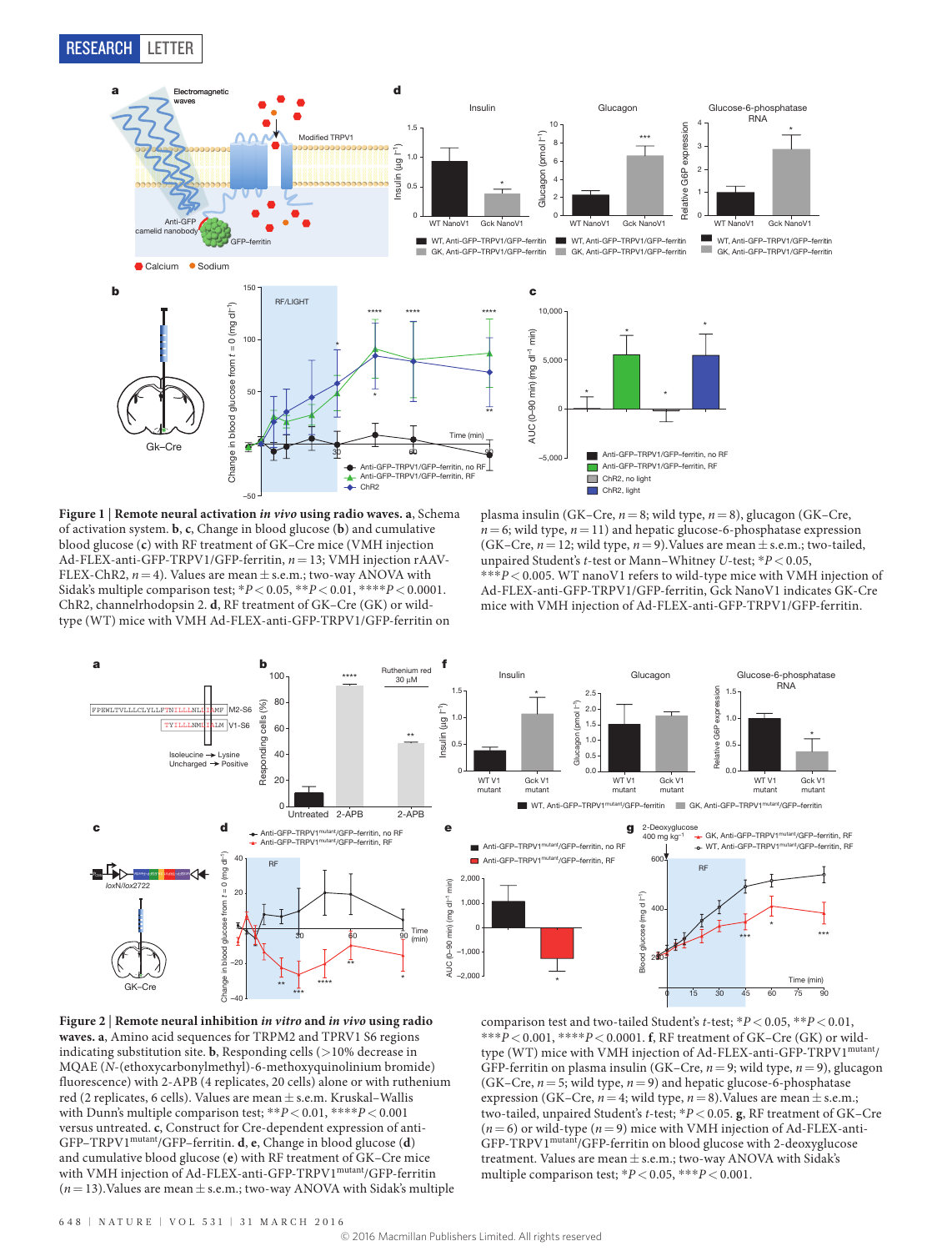

<span id="page-1-0"></span>**Figure 1** | **Remote neural activation** *in vivo* **using radio waves. a**, Schema of activation system. **b**, **c**, Change in blood glucose (**b**) and cumulative blood glucose (**c**) with RF treatment of GK–Cre mice (VMH injection Ad-FLEX-anti-GFP-TRPV1/GFP-ferritin, *n*=13; VMH injection rAAV-FLEX-ChR2,  $n=4$ ). Values are mean  $\pm$  s.e.m.; two-way ANOVA with Sidak's multiple comparison test; \**P*<0.05, \*\**P*<0.01, \*\*\*\**P*<0.0001. ChR2, channelrhodopsin 2. **d**, RF treatment of GK–Cre (GK) or wildtype (WT) mice with VMH Ad-FLEX-anti-GFP-TRPV1/GFP-ferritin on

plasma insulin (GK–Cre, *n*=8; wild type, *n*=8), glucagon (GK–Cre,  $n=6$ ; wild type,  $n=11$ ) and hepatic glucose-6-phosphatase expression (GK–Cre,  $n = 12$ ; wild type,  $n = 9$ ). Values are mean  $\pm$  s.e.m.; two-tailed, unpaired Student's *t*-test or Mann–Whitney *U*-test; \**P*<0.05, \*\*\**P*<0.005. WT nanoV1 refers to wild-type mice with VMH injection of Ad-FLEX-anti-GFP-TRPV1/GFP-ferritin, Gck NanoV1 indicates GK-Cre mice with VMH injection of Ad-FLEX-anti-GFP-TRPV1/GFP-ferritin.



<span id="page-1-1"></span>

comparison test and two-tailed Student's *t*-test; \**P*<0.05, \*\**P*<0.01, \*\*\**P*<0.001, \*\*\*\**P*<0.0001. **f**, RF treatment of GK–Cre (GK) or wildtype (WT) mice with VMH injection of Ad-FLEX-anti-GFP-TRPV1<sup>mutant</sup>/ GFP-ferritin on plasma insulin (GK–Cre, *n*=9; wild type, *n*=9), glucagon (GK–Cre, *n*=5; wild type, *n*=9) and hepatic glucose-6-phosphatase expression (GK–Cre,  $n=4$ ; wild type,  $n=8$ ). Values are mean  $\pm$  s.e.m.; two-tailed, unpaired Student's *t*-test; \**P*<0.05. **g**, RF treatment of GK–Cre  $(n=6)$  or wild-type  $(n=9)$  mice with VMH injection of Ad-FLEX-anti-GFP-TRPV1mutant/GFP-ferritin on blood glucose with 2-deoxyglucose treatment. Values are mean  $\pm$  s.e.m.; two-way ANOVA with Sidak's multiple comparison test;  $^*P\!<\!0.05,$   $^{***}P\!<\!0.001.$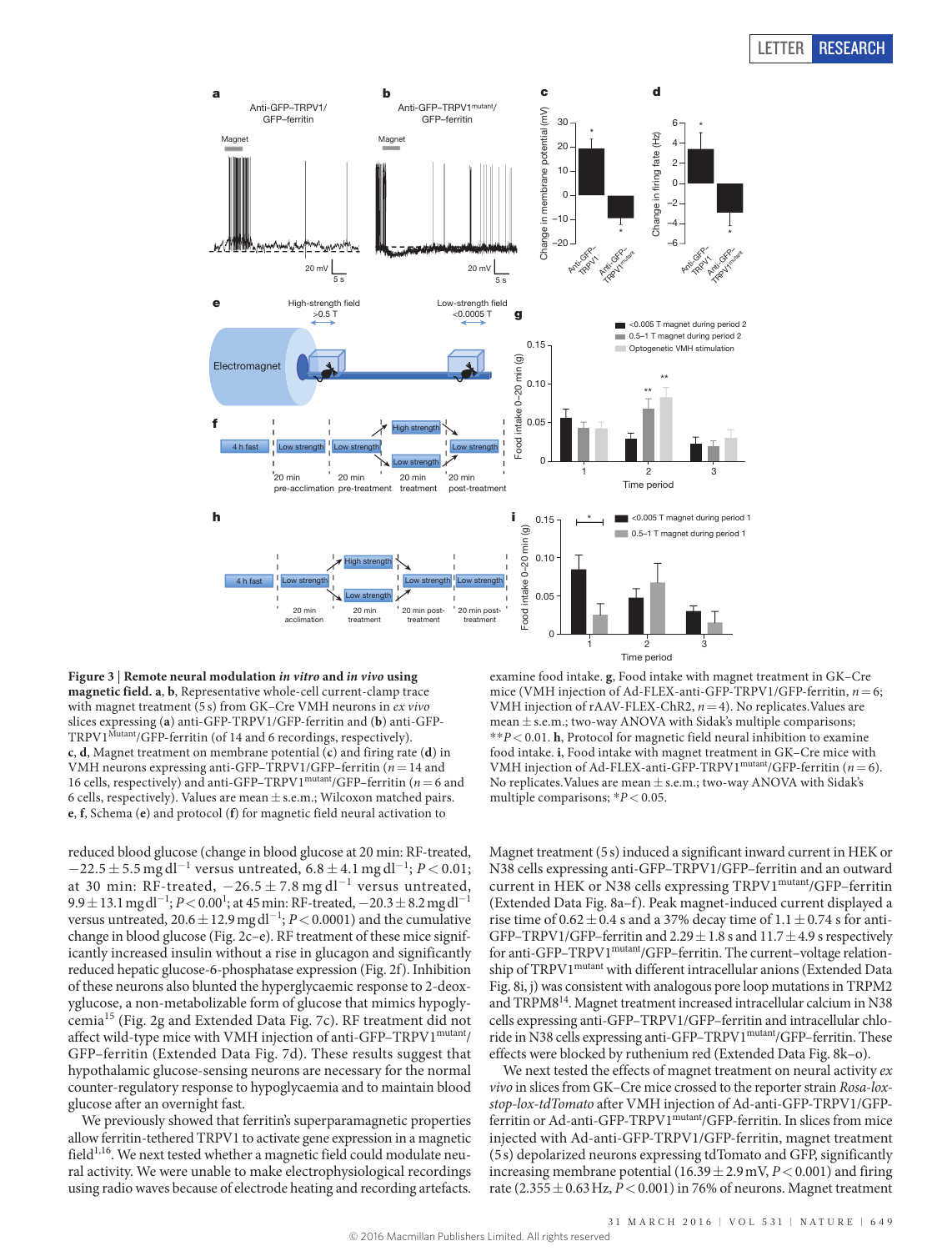## LETTER RESEARCH



<span id="page-2-0"></span>**Figure 3** | **Remote neural modulation** *in vitro* **and** *in vivo* **using magnetic field. a**, **b**, Representative whole-cell current-clamp trace with magnet treatment (5 s) from GK–Cre VMH neurons in *ex vivo* slices expressing (**a**) anti-GFP-TRPV1/GFP-ferritin and (**b**) anti-GFP-TRPV1<sup>Mutant</sup>/GFP-ferritin (of 14 and 6 recordings, respectively). **c**, **d**, Magnet treatment on membrane potential (**c**) and firing rate (**d**) in VMH neurons expressing anti-GFP–TRPV1/GFP–ferritin (*n*=14 and 16 cells, respectively) and anti-GFP–TRPV1 $^{\text{mutant}}$ /GFP–ferritin (*n* = 6 and 6 cells, respectively). Values are mean  $\pm$  s.e.m.; Wilcoxon matched pairs. **e**, **f**, Schema (**e**) and protocol (**f**) for magnetic field neural activation to

reduced blood glucose (change in blood glucose at 20 min: RF-treated,  $-22.5\pm5.5$  mg dl $^{-1}$  versus untreated,  $6.8\pm4.1$  mg dl $^{-1};$   $P$   $<$   $0.01;$ at 30 min: RF-treated,  $-26.5 \pm 7.8$  mg dl<sup>-1</sup> versus untreated, 9.9±13.1 mg dl<sup>-1</sup>; *P* < 0.00<sup>1</sup>; at 45 min: RF-treated, −20.3±8.2 mg dl<sup>-1</sup> versus untreated, 20.6±12.9mgdl<sup>−</sup><sup>1</sup> ; *P*<0.0001) and the cumulative change in blood glucose ([Fig. 2c–e](#page-1-1)). RF treatment of these mice significantly increased insulin without a rise in glucagon and significantly reduced hepatic glucose-6-phosphatase expression [\(Fig. 2f](#page-1-1)). Inhibition of these neurons also blunted the hyperglycaemic response to 2-deoxyglucose, a non-metabolizable form of glucose that mimics hypoglycemia15 [\(Fig. 2g](#page-1-1) and [Extended Data Fig. 7c](#page--1-7)). RF treatment did not affect wild-type mice with VMH injection of anti-GFP-TRPV1<sup>mutant</sup>/ GFP–ferritin ([Extended Data Fig. 7d](#page--1-7)). These results suggest that hypothalamic glucose-sensing neurons are necessary for the normal counter-regulatory response to hypoglycaemia and to maintain blood glucose after an overnight fast.

We previously showed that ferritin's superparamagnetic properties allow ferritin-tethered TRPV1 to activate gene expression in a magnetic field $1,16$ . We next tested whether a magnetic field could modulate neural activity. We were unable to make electrophysiological recordings using radio waves because of electrode heating and recording artefacts.

examine food intake. **g**, Food intake with magnet treatment in GK–Cre mice (VMH injection of Ad-FLEX-anti-GFP-TRPV1/GFP-ferritin, *n*=6; VMH injection of rAAV-FLEX-ChR2, *n*=4). No replicates.Values are mean  $\pm$  s.e.m.; two-way ANOVA with Sidak's multiple comparisons; \*\**P*<0.01. **h**, Protocol for magnetic field neural inhibition to examine food intake. **i**, Food intake with magnet treatment in GK–Cre mice with VMH injection of Ad-FLEX-anti-GFP-TRPV1mutant/GFP-ferritin (*n*=6). No replicates. Values are mean  $\pm$  s.e.m.; two-way ANOVA with Sidak's multiple comparisons; \**P*<0.05.

Magnet treatment (5s) induced a significant inward current in HEK or N38 cells expressing anti-GFP–TRPV1/GFP–ferritin and an outward current in HEK or N38 cells expressing TRPV1<sup>mutant</sup>/GFP-ferritin [\(Extended Data Fig. 8a–f\)](#page--1-6). Peak magnet-induced current displayed a rise time of  $0.62 \pm 0.4$  s and a 37% decay time of  $1.1 \pm 0.74$  s for anti-GFP–TRPV1/GFP–ferritin and  $2.29 \pm 1.8$  s and  $11.7 \pm 4.9$  s respectively for anti-GFP–TRPV1<sup>mutant</sup>/GFP–ferritin. The current–voltage relation-ship of TRPV1<sup>mutant</sup> with different intracellular anions ([Extended Data](#page--1-6) [Fig. 8i, j\)](#page--1-6) was consistent with analogous pore loop mutations in TRPM2 and TRPM814. Magnet treatment increased intracellular calcium in N38 cells expressing anti-GFP–TRPV1/GFP–ferritin and intracellular chloride in N38 cells expressing anti-GFP–TRPV1mutant/GFP–ferritin. These effects were blocked by ruthenium red ([Extended Data Fig. 8k–o\)](#page--1-6).

We next tested the effects of magnet treatment on neural activity *ex vivo* in slices from GK–Cre mice crossed to the reporter strain *Rosa-loxstop-lox-tdTomato* after VMH injection of Ad-anti-GFP-TRPV1/GFPferritin or Ad-anti-GFP-TRPV1<sup>mutant</sup>/GFP-ferritin. In slices from mice injected with Ad-anti-GFP-TRPV1/GFP-ferritin, magnet treatment (5s) depolarized neurons expressing tdTomato and GFP, significantly increasing membrane potential  $(16.39 \pm 2.9 \,\text{mV}, P < 0.001)$  and firing rate  $(2.355 \pm 0.63 \text{ Hz}, P < 0.001)$  in 76% of neurons. Magnet treatment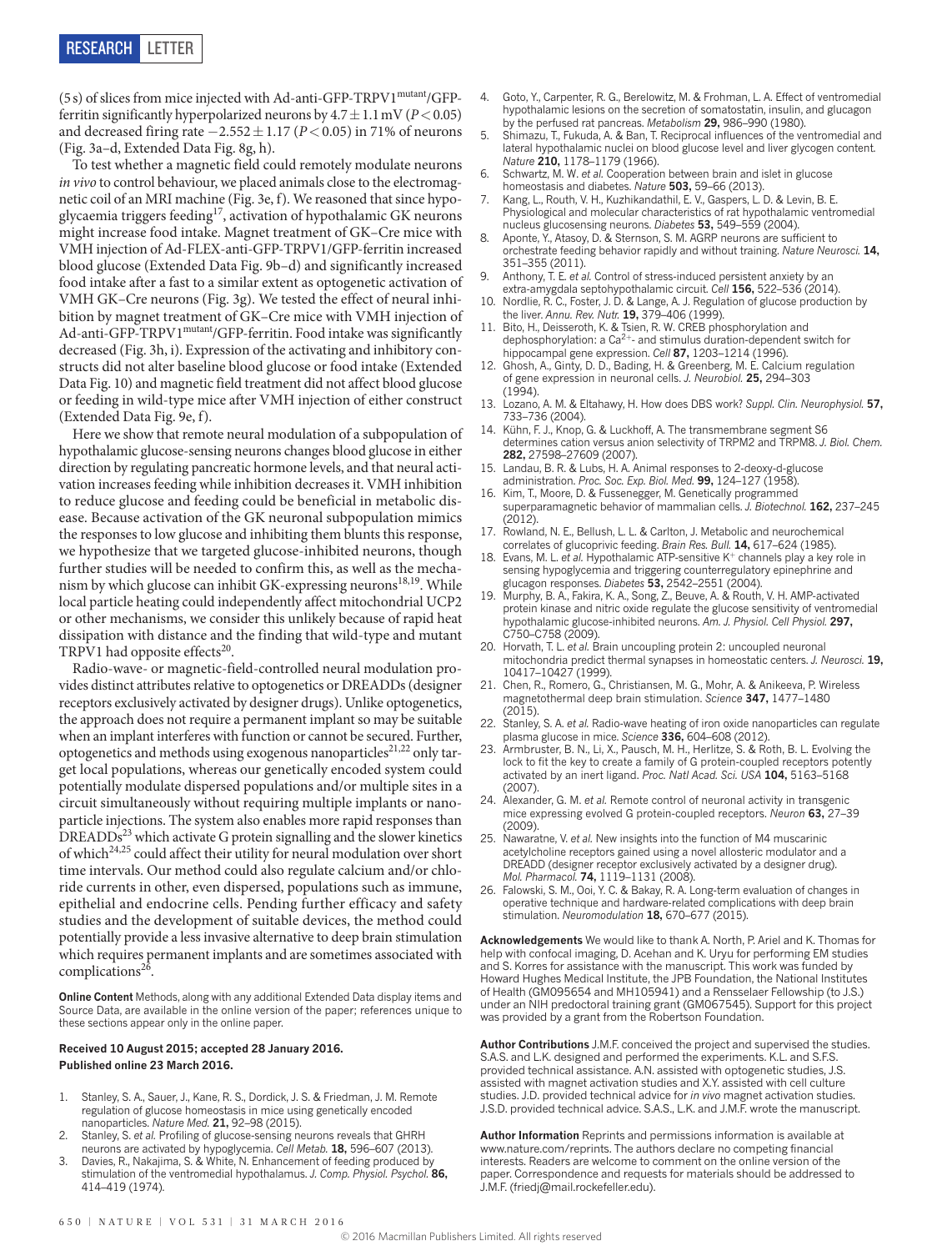(5s) of slices from mice injected with Ad-anti-GFP-TRPV1mutant/GFPferritin significantly hyperpolarized neurons by  $4.7 \pm 1.1$  mV ( $P < 0.05$ ) and decreased firing rate −2.552±1.17 (*P*<0.05) in 71% of neurons [\(Fig. 3a–d,](#page-2-0) [Extended Data Fig. 8g, h\)](#page--1-6).

To test whether a magnetic field could remotely modulate neurons *in vivo* to control behaviour, we placed animals close to the electromagnetic coil of an MRI machine ([Fig. 3e, f](#page-2-0)). We reasoned that since hypoglycaemia triggers feeding<sup>17</sup>, activation of hypothalamic GK neurons might increase food intake. Magnet treatment of GK–Cre mice with VMH injection of Ad-FLEX-anti-GFP-TRPV1/GFP-ferritin increased blood glucose [\(Extended Data Fig. 9b–d](#page--1-8)) and significantly increased food intake after a fast to a similar extent as optogenetic activation of VMH GK–Cre neurons ([Fig. 3g](#page-2-0)). We tested the effect of neural inhibition by magnet treatment of GK–Cre mice with VMH injection of Ad-anti-GFP-TRPV1<sup>mutant</sup>/GFP-ferritin. Food intake was significantly decreased [\(Fig. 3h,](#page-2-0) i). Expression of the activating and inhibitory constructs did not alter baseline blood glucose or food intake ([Extended](#page--1-9) [Data Fig. 10\)](#page--1-9) and magnetic field treatment did not affect blood glucose or feeding in wild-type mice after VMH injection of either construct [\(Extended Data Fig. 9e, f](#page--1-8)).

Here we show that remote neural modulation of a subpopulation of hypothalamic glucose-sensing neurons changes blood glucose in either direction by regulating pancreatic hormone levels, and that neural activation increases feeding while inhibition decreases it. VMH inhibition to reduce glucose and feeding could be beneficial in metabolic disease. Because activation of the GK neuronal subpopulation mimics the responses to low glucose and inhibiting them blunts this response, we hypothesize that we targeted glucose-inhibited neurons, though further studies will be needed to confirm this, as well as the mechanism by which glucose can inhibit GK-expressing neurons<sup>18,19</sup>. While local particle heating could independently affect mitochondrial UCP2 or other mechanisms, we consider this unlikely because of rapid heat dissipation with distance and the finding that wild-type and mutant TRPV1 had opposite effects<sup>20</sup>.

Radio-wave- or magnetic-field-controlled neural modulation provides distinct attributes relative to optogenetics or DREADDs (designer receptors exclusively activated by designer drugs). Unlike optogenetics, the approach does not require a permanent implant so may be suitable when an implant interferes with function or cannot be secured. Further, optogenetics and methods using exogenous nanoparticles<sup>21,22</sup> only target local populations, whereas our genetically encoded system could potentially modulate dispersed populations and/or multiple sites in a circuit simultaneously without requiring multiple implants or nanoparticle injections. The system also enables more rapid responses than DREADDs<sup>23</sup> which activate G protein signalling and the slower kinetics of which<sup>24,25</sup> could affect their utility for neural modulation over short time intervals. Our method could also regulate calcium and/or chloride currents in other, even dispersed, populations such as immune, epithelial and endocrine cells. Pending further efficacy and safety studies and the development of suitable devices, the method could potentially provide a less invasive alternative to deep brain stimulation which requires permanent implants and are sometimes associated with complications<sup>26</sup>.

**Online Content** Methods, along with any additional Extended Data display items and Source Data, are available in the [online version of the paper](http://www.nature.com/doifinder/10.1038/nature17183); references unique to these sections appear only in the online paper.

## **Received 10 August 2015; accepted 28 January 2016. Published online 23 March 2016.**

- 1. Stanley, S. A., Sauer, J., Kane, R. S., Dordick, J. S. & Friedman, J. M. Remote regulation of glucose homeostasis in mice using genetically encoded nanoparticles. *Nature Med.* **21,** 92–98 (2015).
- 2. Stanley, S. *et al.* Profiling of glucose-sensing neurons reveals that GHRH neurons are activated by hypoglycemia. *Cell Metab.* **18,** 596–607 (2013).
- 3. Davies, R., Nakajima, S. & White, N. Enhancement of feeding produced by stimulation of the ventromedial hypothalamus. *J. Comp. Physiol. Psychol.* **86,** 414–419 (1974).
- 4. Goto, Y., Carpenter, R. G., Berelowitz, M. & Frohman, L. A. Effect of ventromedial hypothalamic lesions on the secretion of somatostatin, insulin, and glucagon by the perfused rat pancreas. *Metabolism* **29,** 986–990 (1980).
- 5. Shimazu, T., Fukuda, A. & Ban, T. Reciprocal influences of the ventromedial and lateral hypothalamic nuclei on blood glucose level and liver glycogen content. *Nature* **210,** 1178–1179 (1966).
- 6. Schwartz, M. W. *et al.* Cooperation between brain and islet in glucose homeostasis and diabetes. *Nature* **503,** 59–66 (2013).
- Kang, L., Routh, V. H., Kuzhikandathil, E. V., Gaspers, L. D. & Levin, B. E. Physiological and molecular characteristics of rat hypothalamic ventromedial nucleus glucosensing neurons. *Diabetes* **53,** 549–559 (2004).
- Aponte, Y., Atasoy, D. & Sternson, S. M. AGRP neurons are sufficient to orchestrate feeding behavior rapidly and without training. *Nature Neurosci.* **14,** 351–355 (2011).
- 9. Anthony, T. E. *et al.* Control of stress-induced persistent anxiety by an extra-amygdala septohypothalamic circuit. *Cell* **156,** 522–536 (2014).
- 10. Nordlie, R. C., Foster, J. D. & Lange, A. J. Regulation of glucose production by the liver. *Annu. Rev. Nutr.* **19,** 379–406 (1999).
- 11. Bito, H., Deisseroth, K. & Tsien, R. W. CREB phosphorylation and dephosphorylation: a  $Ca^{2+}$ - and stimulus duration-dependent switch for hippocampal gene expression. *Cell* **87,** 1203–1214 (1996).
- 12. Ghosh, A., Ginty, D. D., Bading, H. & Greenberg, M. E. Calcium regulation of gene expression in neuronal cells. *J. Neurobiol.* **25,** 294–303  $(1994)$
- 13. Lozano, A. M. & Eltahawy, H. How does DBS work? *Suppl. Clin. Neurophysiol.* **57,** 733–736 (2004).
- 14. Kühn, F. J., Knop, G. & Luckhoff, A. The transmembrane segment S6 determines cation versus anion selectivity of TRPM2 and TRPM8. *J. Biol. Chem.* **282,** 27598–27609 (2007).
- 15. Landau, B. R. & Lubs, H. A. Animal responses to 2-deoxy-d-glucose administration. *Proc. Soc. Exp. Biol. Med.* **99,** 124–127 (1958).
- 16. Kim, T., Moore, D. & Fussenegger, M. Genetically programmed superparamagnetic behavior of mammalian cells. *J. Biotechnol.* **162,** 237–245 (2012).
- 17. Rowland, N. E., Bellush, L. L. & Carlton, J. Metabolic and neurochemical correlates of glucoprivic feeding. *Brain Res. Bull.* **14,** 617–624 (1985).
- 18. Evans, M. L. *et al.* Hypothalamic ATP-sensitive K<sup>+</sup> channels play a key role in sensing hypoglycemia and triggering counterregulatory epinephrine and glucagon responses. *Diabetes* **53,** 2542–2551 (2004).
- 19. Murphy, B. A., Fakira, K. A., Song, Z., Beuve, A. & Routh, V. H. AMP-activated protein kinase and nitric oxide regulate the glucose sensitivity of ventromedial hypothalamic glucose-inhibited neurons. *Am. J. Physiol. Cell Physiol.* **297,** C750–C758 (2009).
- Horvath, T. L. *et al.* Brain uncoupling protein 2: uncoupled neuronal mitochondria predict thermal synapses in homeostatic centers. *J. Neurosci.* **19,** 10417–10427 (1999).
- 21. Chen, R., Romero, G., Christiansen, M. G., Mohr, A. & Anikeeva, P. Wireless magnetothermal deep brain stimulation. *Science* **347,** 1477–1480  $(2015)$
- 22. Stanley, S. A. *et al.* Radio-wave heating of iron oxide nanoparticles can regulate plasma glucose in mice. *Science* **336,** 604–608 (2012).
- 23. Armbruster, B. N., Li, X., Pausch, M. H., Herlitze, S. & Roth, B. L. Evolving the lock to fit the key to create a family of G protein-coupled receptors potently activated by an inert ligand. *Proc. Natl Acad. Sci. USA* **104,** 5163–5168 (2007).
- 24. Alexander, G. M. *et al.* Remote control of neuronal activity in transgenic mice expressing evolved G protein-coupled receptors. *Neuron* **63,** 27–39 (2009)
- 25. Nawaratne, V. *et al.* New insights into the function of M4 muscarinic acetylcholine receptors gained using a novel allosteric modulator and a DREADD (designer receptor exclusively activated by a designer drug). *Mol. Pharmacol.* **74,** 1119–1131 (2008).
- 26. Falowski, S. M., Ooi, Y. C. & Bakay, R. A. Long-term evaluation of changes in operative technique and hardware-related complications with deep brain stimulation. *Neuromodulation* **18,** 670–677 (2015).

**Acknowledgements** We would like to thank A. North, P. Ariel and K. Thomas for help with confocal imaging, D. Acehan and K. Uryu for performing EM studies and S. Korres for assistance with the manuscript. This work was funded by Howard Hughes Medical Institute, the JPB Foundation, the National Institutes of Health (GM095654 and MH105941) and a Rensselaer Fellowship (to J.S.) under an NIH predoctoral training grant (GM067545). Support for this project was provided by a grant from the Robertson Foundation.

**Author Contributions** J.M.F. conceived the project and supervised the studies. S.A.S. and L.K. designed and performed the experiments. K.L. and S.F.S. provided technical assistance. A.N. assisted with optogenetic studies, J.S. assisted with magnet activation studies and X.Y. assisted with cell culture studies. J.D. provided technical advice for *in vivo* magnet activation studies. J.S.D. provided technical advice. S.A.S., L.K. and J.M.F. wrote the manuscript.

**Author Information** Reprints and permissions information is available at [www.nature.com/reprints](http://www.nature.com/reprints). The authors declare no competing financial interests. Readers are welcome to comment on the [online version of the](http://www.nature.com/doifinder/10.1038/nature17183)  [paper.](http://www.nature.com/doifinder/10.1038/nature17183) Correspondence and requests for materials should be addressed to J.M.F. [\(friedj@mail.rockefeller.edu](mailto:friedj@mail.rockefeller.edu)).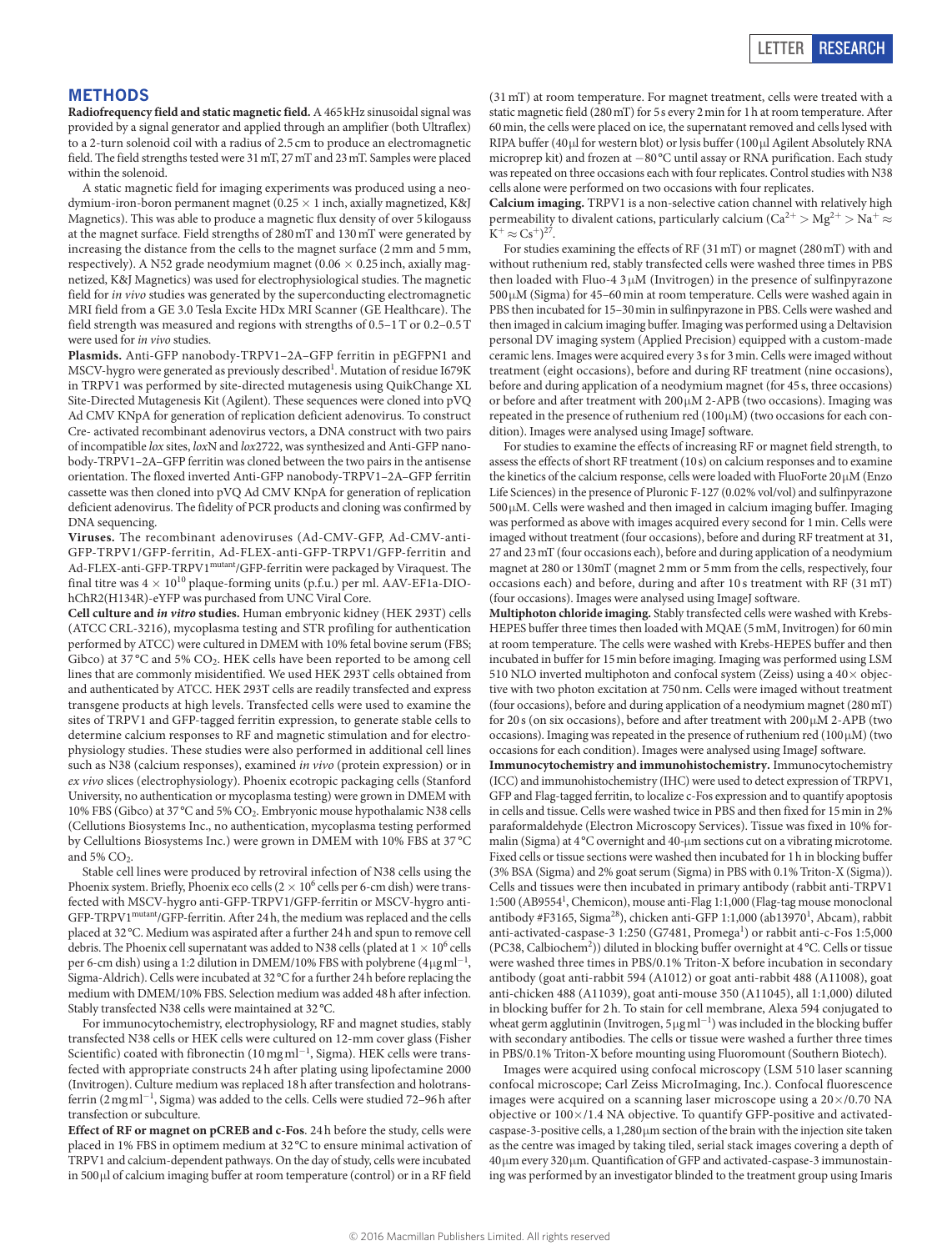## **METHODS**

**Radiofrequency field and static magnetic field.** A 465kHz sinusoidal signal was provided by a signal generator and applied through an amplifier (both Ultraflex) to a 2-turn solenoid coil with a radius of 2.5 cm to produce an electromagnetic field. The field strengths tested were 31mT, 27mT and 23mT. Samples were placed within the solenoid.

A static magnetic field for imaging experiments was produced using a neodymium-iron-boron permanent magnet (0.25  $\times$  1 inch, axially magnetized, K&J Magnetics). This was able to produce a magnetic flux density of over 5 kilogauss at the magnet surface. Field strengths of 280mT and 130mT were generated by increasing the distance from the cells to the magnet surface (2mm and 5mm, respectively). A N52 grade neodymium magnet (0.06  $\times$  0.25 inch, axially magnetized, K&J Magnetics) was used for electrophysiological studies. The magnetic field for *in vivo* studies was generated by the superconducting electromagnetic MRI field from a GE 3.0 Tesla Excite HDx MRI Scanner (GE Healthcare). The field strength was measured and regions with strengths of 0.5–1T or 0.2–0.5T were used for *in vivo* studies.

**Plasmids.** Anti-GFP nanobody-TRPV1–2A–GFP ferritin in pEGFPN1 and MSCV-hygro were generated as previously described<sup>1</sup>. Mutation of residue I679K in TRPV1 was performed by site-directed mutagenesis using QuikChange XL Site-Directed Mutagenesis Kit (Agilent). These sequences were cloned into pVQ Ad CMV KNpA for generation of replication deficient adenovirus. To construct Cre- activated recombinant adenovirus vectors, a DNA construct with two pairs of incompatible *lox* sites, *lox*N and *lox*2722, was synthesized and Anti-GFP nanobody-TRPV1–2A–GFP ferritin was cloned between the two pairs in the antisense orientation. The floxed inverted Anti-GFP nanobody-TRPV1–2A–GFP ferritin cassette was then cloned into pVQ Ad CMV KNpA for generation of replication deficient adenovirus. The fidelity of PCR products and cloning was confirmed by DNA sequencing.

**Viruses.** The recombinant adenoviruses (Ad-CMV-GFP, Ad-CMV-anti-GFP-TRPV1/GFP-ferritin, Ad-FLEX-anti-GFP-TRPV1/GFP-ferritin and Ad-FLEX-anti-GFP-TRPV1mutant/GFP-ferritin were packaged by Viraquest. The final titre was  $4 \times 10^{10}$  plaque-forming units (p.f.u.) per ml. AAV-EF1a-DIOhChR2(H134R)-eYFP was purchased from UNC Viral Core.

**Cell culture and** *in vitro* **studies.** Human embryonic kidney (HEK 293T) cells (ATCC CRL-3216), mycoplasma testing and STR profiling for authentication performed by ATCC) were cultured in DMEM with 10% fetal bovine serum (FBS; Gibco) at 37 °C and 5%  $CO<sub>2</sub>$ . HEK cells have been reported to be among cell lines that are commonly misidentified. We used HEK 293T cells obtained from and authenticated by ATCC. HEK 293T cells are readily transfected and express transgene products at high levels. Transfected cells were used to examine the sites of TRPV1 and GFP-tagged ferritin expression, to generate stable cells to determine calcium responses to RF and magnetic stimulation and for electrophysiology studies. These studies were also performed in additional cell lines such as N38 (calcium responses), examined *in vivo* (protein expression) or in *ex vivo* slices (electrophysiology). Phoenix ecotropic packaging cells (Stanford University, no authentication or mycoplasma testing) were grown in DMEM with 10% FBS (Gibco) at 37°C and 5% CO2. Embryonic mouse hypothalamic N38 cells (Cellutions Biosystems Inc., no authentication, mycoplasma testing performed by Cellultions Biosystems Inc.) were grown in DMEM with 10% FBS at 37 °C and 5%  $CO<sub>2</sub>$ .

Stable cell lines were produced by retroviral infection of N38 cells using the Phoenix system. Briefly, Phoenix eco cells ( $2 \times 10^6$  cells per 6-cm dish) were transfected with MSCV-hygro anti-GFP-TRPV1/GFP-ferritin or MSCV-hygro anti-GFP-TRPV1mutant/GFP-ferritin. After 24h, the medium was replaced and the cells placed at 32°C. Medium was aspirated after a further 24h and spun to remove cell debris. The Phoenix cell supernatant was added to N38 cells (plated at  $1\times10^6$  cells per 6-cm dish) using a 1:2 dilution in DMEM/10% FBS with polybrene (4μgml<sup>-1</sup>, Sigma-Aldrich). Cells were incubated at 32°C for a further 24h before replacing the medium with DMEM/10% FBS. Selection medium was added 48h after infection. Stably transfected N38 cells were maintained at 32°C.

For immunocytochemistry, electrophysiology, RF and magnet studies, stably transfected N38 cells or HEK cells were cultured on 12-mm cover glass (Fisher Scientific) coated with fibronectin (10 mg ml<sup>-1</sup>, Sigma). HEK cells were transfected with appropriate constructs 24h after plating using lipofectamine 2000 (Invitrogen). Culture medium was replaced 18h after transfection and holotransferrin (2 mg ml<sup>-1</sup>, Sigma) was added to the cells. Cells were studied 72-96h after transfection or subculture.

**Effect of RF or magnet on pCREB and c-Fos**. 24h before the study, cells were placed in 1% FBS in optimem medium at 32°C to ensure minimal activation of TRPV1 and calcium-dependent pathways. On the day of study, cells were incubated in 500μl of calcium imaging buffer at room temperature (control) or in a RF field

(31mT) at room temperature. For magnet treatment, cells were treated with a static magnetic field (280mT) for 5s every 2min for 1h at room temperature. After 60min, the cells were placed on ice, the supernatant removed and cells lysed with RIPA buffer (40 µl for western blot) or lysis buffer (100 µl Agilent Absolutely RNA microprep kit) and frozen at −80°C until assay or RNA purification. Each study was repeated on three occasions each with four replicates. Control studies with N38 cells alone were performed on two occasions with four replicates.

**Calcium imaging.** TRPV1 is a non-selective cation channel with relatively high permeability to divalent cations, particularly calcium ( $Ca^{2+} > Mg^{2+} > Na^{+} \approx$  $K^+ \approx Cs^+)^{27}$ .

For studies examining the effects of RF (31mT) or magnet (280mT) with and without ruthenium red, stably transfected cells were washed three times in PBS then loaded with Fluo-4 3 μM (Invitrogen) in the presence of sulfinpyrazone 500μM (Sigma) for 45–60min at room temperature. Cells were washed again in PBS then incubated for 15–30min in sulfinpyrazone in PBS. Cells were washed and then imaged in calcium imaging buffer. Imaging was performed using a Deltavision personal DV imaging system (Applied Precision) equipped with a custom-made ceramic lens. Images were acquired every 3s for 3min. Cells were imaged without treatment (eight occasions), before and during RF treatment (nine occasions), before and during application of a neodymium magnet (for 45s, three occasions) or before and after treatment with 200μM 2-APB (two occasions). Imaging was repeated in the presence of ruthenium red (100μM) (two occasions for each condition). Images were analysed using ImageJ software.

For studies to examine the effects of increasing RF or magnet field strength, to assess the effects of short RF treatment (10s) on calcium responses and to examine the kinetics of the calcium response, cells were loaded with FluoForte 20μM (Enzo Life Sciences) in the presence of Pluronic F-127 (0.02% vol/vol) and sulfinpyrazone 500μM. Cells were washed and then imaged in calcium imaging buffer. Imaging was performed as above with images acquired every second for 1min. Cells were imaged without treatment (four occasions), before and during RF treatment at 31, 27 and 23mT (four occasions each), before and during application of a neodymium magnet at 280 or 130mT (magnet 2mm or 5mm from the cells, respectively, four occasions each) and before, during and after 10 s treatment with RF (31 mT) (four occasions). Images were analysed using ImageJ software.

**Multiphoton chloride imaging.** Stably transfected cells were washed with Krebs-HEPES buffer three times then loaded with MQAE (5mM, Invitrogen) for 60min at room temperature. The cells were washed with Krebs-HEPES buffer and then incubated in buffer for 15min before imaging. Imaging was performed using LSM 510 NLO inverted multiphoton and confocal system (Zeiss) using a  $40\times$  objective with two photon excitation at 750nm. Cells were imaged without treatment (four occasions), before and during application of a neodymium magnet (280mT) for 20 s (on six occasions), before and after treatment with 200  $\mu$ M 2-APB (two occasions). Imaging was repeated in the presence of ruthenium red (100  $\upmu$ M) (two occasions for each condition). Images were analysed using ImageJ software.

**Immunocytochemistry and immunohistochemistry.** Immunocytochemistry (ICC) and immunohistochemistry (IHC) were used to detect expression of TRPV1, GFP and Flag-tagged ferritin, to localize c-Fos expression and to quantify apoptosis in cells and tissue. Cells were washed twice in PBS and then fixed for 15min in 2% paraformaldehyde (Electron Microscopy Services). Tissue was fixed in 10% formalin (Sigma) at 4°C overnight and 40-μm sections cut on a vibrating microtome. Fixed cells or tissue sections were washed then incubated for 1h in blocking buffer (3% BSA (Sigma) and 2% goat serum (Sigma) in PBS with 0.1% Triton-X (Sigma)). Cells and tissues were then incubated in primary antibody (rabbit anti-TRPV1 1:500 (AB95541 , Chemicon), mouse anti-Flag 1:1,000 (Flag-tag mouse monoclonal antibody #F3165, Sigma<sup>28</sup>), chicken anti-GFP 1:1,000 (ab13970<sup>1</sup>, Abcam), rabbit anti-activated-caspase-3 1:250 (G7481, Promega<sup>1</sup>) or rabbit anti-c-Fos 1:5,000 (PC38, Calbiochem<sup>2</sup>)) diluted in blocking buffer overnight at 4 °C. Cells or tissue were washed three times in PBS/0.1% Triton-X before incubation in secondary antibody (goat anti-rabbit 594 (A1012) or goat anti-rabbit 488 (A11008), goat anti-chicken 488 (A11039), goat anti-mouse 350 (A11045), all 1:1,000) diluted in blocking buffer for 2h. To stain for cell membrane, Alexa 594 conjugated to wheat germ agglutinin (Invitrogen, 5µgml<sup>-1</sup>) was included in the blocking buffer with secondary antibodies. The cells or tissue were washed a further three times in PBS/0.1% Triton-X before mounting using Fluoromount (Southern Biotech).

Images were acquired using confocal microscopy (LSM 510 laser scanning confocal microscope; Carl Zeiss MicroImaging, Inc.). Confocal fluorescence images were acquired on a scanning laser microscope using a  $20\times$ /0.70 NA objective or 100×/1.4 NA objective. To quantify GFP-positive and activatedcaspase-3-positive cells, a  $1,280 \mu m$  section of the brain with the injection site taken as the centre was imaged by taking tiled, serial stack images covering a depth of 40µm every 320µm. Quantification of GFP and activated-caspase-3 immunostaining was performed by an investigator blinded to the treatment group using Imaris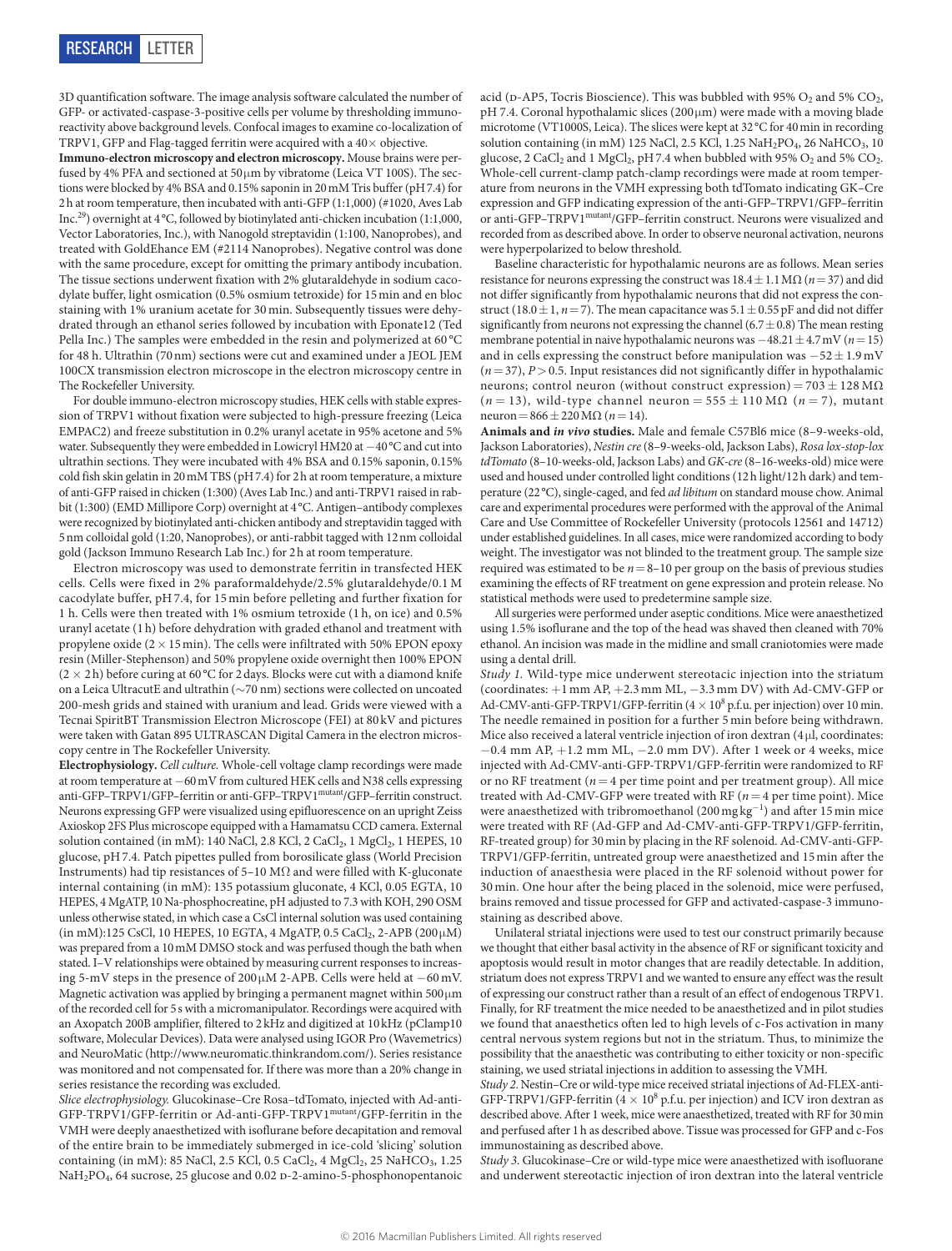3D quantification software. The image analysis software calculated the number of GFP- or activated-caspase-3-positive cells per volume by thresholding immunoreactivity above background levels. Confocal images to examine co-localization of TRPV1, GFP and Flag-tagged ferritin were acquired with a  $40\times$  objective.

**Immuno-electron microscopy and electron microscopy.** Mouse brains were perfused by 4% PFA and sectioned at 50μm by vibratome (Leica VT 100S). The sections were blocked by 4% BSA and 0.15% saponin in 20mM Tris buffer (pH7.4) for 2h at room temperature, then incubated with anti-GFP (1:1,000) (#1020, Aves Lab Inc.29) overnight at 4°C, followed by biotinylated anti-chicken incubation (1:1,000, Vector Laboratories, Inc.), with Nanogold streptavidin (1:100, Nanoprobes), and treated with GoldEhance EM (#2114 Nanoprobes). Negative control was done with the same procedure, except for omitting the primary antibody incubation. The tissue sections underwent fixation with 2% glutaraldehyde in sodium cacodylate buffer, light osmication (0.5% osmium tetroxide) for 15min and en bloc staining with 1% uranium acetate for 30min. Subsequently tissues were dehydrated through an ethanol series followed by incubation with Eponate12 (Ted Pella Inc.) The samples were embedded in the resin and polymerized at 60 °C for 48 h. Ultrathin (70nm) sections were cut and examined under a JEOL JEM 100CX transmission electron microscope in the electron microscopy centre in The Rockefeller University.

For double immuno-electron microscopy studies, HEK cells with stable expression of TRPV1 without fixation were subjected to high-pressure freezing (Leica EMPAC2) and freeze substitution in 0.2% uranyl acetate in 95% acetone and 5% water. Subsequently they were embedded in Lowicryl HM20 at −40°C and cut into ultrathin sections. They were incubated with 4% BSA and 0.15% saponin, 0.15% cold fish skin gelatin in 20mM TBS (pH7.4) for 2h at room temperature, a mixture of anti-GFP raised in chicken (1:300) (Aves Lab Inc.) and anti-TRPV1 raised in rabbit (1:300) (EMD Millipore Corp) overnight at 4°C. Antigen–antibody complexes were recognized by biotinylated anti-chicken antibody and streptavidin tagged with 5nm colloidal gold (1:20, Nanoprobes), or anti-rabbit tagged with 12nm colloidal gold (Jackson Immuno Research Lab Inc.) for 2h at room temperature.

Electron microscopy was used to demonstrate ferritin in transfected HEK cells. Cells were fixed in 2% paraformaldehyde/2.5% glutaraldehyde/0.1 M cacodylate buffer, pH7.4, for 15 min before pelleting and further fixation for 1 h. Cells were then treated with 1% osmium tetroxide (1 h, on ice) and 0.5% uranyl acetate (1h) before dehydration with graded ethanol and treatment with propylene oxide  $(2 \times 15 \text{ min})$ . The cells were infiltrated with 50% EPON epoxy resin (Miller-Stephenson) and 50% propylene oxide overnight then 100% EPON  $(2 \times 2h)$  before curing at 60 °C for 2 days. Blocks were cut with a diamond knife on a Leica UltracutE and ultrathin ( $\sim\!70$  nm) sections were collected on uncoated 200-mesh grids and stained with uranium and lead. Grids were viewed with a Tecnai SpiritBT Transmission Electron Microscope (FEI) at 80 kV and pictures were taken with Gatan 895 ULTRASCAN Digital Camera in the electron microscopy centre in The Rockefeller University.

**Electrophysiology.** *Cell culture.* Whole-cell voltage clamp recordings were made at room temperature at −60mV from cultured HEK cells and N38 cells expressing anti-GFP–TRPV1/GFP–ferritin or anti-GFP–TRPV1<sup>mutant</sup>/GFP–ferritin construct. Neurons expressing GFP were visualized using epifluorescence on an upright Zeiss Axioskop 2FS Plus microscope equipped with a Hamamatsu CCD camera. External solution contained (in mM): 140 NaCl, 2.8 KCl, 2 CaCl<sub>2</sub>, 1 MgCl<sub>2</sub>, 1 HEPES, 10 glucose, pH7.4. Patch pipettes pulled from borosilicate glass (World Precision Instruments) had tip resistances of 5–10 M $\Omega$  and were filled with K-gluconate internal containing (in mM): 135 potassium gluconate, 4 KCl, 0.05 EGTA, 10 HEPES, 4 MgATP, 10 Na-phosphocreatine, pH adjusted to 7.3 with KOH, 290 OSM unless otherwise stated, in which case a CsCl internal solution was used containing (in mM):125 CsCl, 10 HEPES, 10 EGTA, 4 MgATP, 0.5 CaCl<sub>2</sub>, 2-APB (200μM) was prepared from a 10mM DMSO stock and was perfused though the bath when stated. I–V relationships were obtained by measuring current responses to increasing 5-mV steps in the presence of 200µM 2-APB. Cells were held at −60mV. Magnetic activation was applied by bringing a permanent magnet within 500μm of the recorded cell for 5s with a micromanipulator. Recordings were acquired with an Axopatch 200B amplifier, filtered to 2kHz and digitized at 10kHz (pClamp10 software, Molecular Devices). Data were analysed using IGOR Pro (Wavemetrics) and NeuroMatic (<http://www.neuromatic.thinkrandom.com/>). Series resistance was monitored and not compensated for. If there was more than a 20% change in series resistance the recording was excluded.

*Slice electrophysiology.* Glucokinase–Cre Rosa–tdTomato, injected with Ad-anti-GFP-TRPV1/GFP-ferritin or Ad-anti-GFP-TRPV1mutant/GFP-ferritin in the VMH were deeply anaesthetized with isoflurane before decapitation and removal of the entire brain to be immediately submerged in ice-cold 'slicing' solution containing (in mM): 85 NaCl, 2.5 KCl, 0.5 CaCl<sub>2</sub>, 4 MgCl<sub>2</sub>, 25 NaHCO<sub>3</sub>, 1.25 NaH<sub>2</sub>PO<sub>4</sub>, 64 sucrose, 25 glucose and 0.02 D-2-amino-5-phosphonopentanoic acid (p-AP5, Tocris Bioscience). This was bubbled with 95%  $O_2$  and 5%  $CO_2$ , pH 7.4. Coronal hypothalamic slices (200µm) were made with a moving blade microtome (VT1000S, Leica). The slices were kept at 32°C for 40min in recording solution containing (in mM) 125 NaCl, 2.5 KCl, 1.25 NaH<sub>2</sub>PO<sub>4</sub>, 26 NaHCO<sub>3</sub>, 10 glucose, 2 CaCl<sub>2</sub> and 1 MgCl<sub>2</sub>, pH7.4 when bubbled with 95%  $O_2$  and 5%  $CO_2$ . Whole-cell current-clamp patch-clamp recordings were made at room temperature from neurons in the VMH expressing both tdTomato indicating GK–Cre expression and GFP indicating expression of the anti-GFP–TRPV1/GFP–ferritin or anti-GFP–TRPV1mutant/GFP–ferritin construct. Neurons were visualized and recorded from as described above. In order to observe neuronal activation, neurons were hyperpolarized to below threshold.

Baseline characteristic for hypothalamic neurons are as follows. Mean series resistance for neurons expressing the construct was 18.4±1.1MΩ (*n*=37) and did not differ significantly from hypothalamic neurons that did not express the construct (18.0  $\pm$  1, *n* = 7). The mean capacitance was 5.1  $\pm$  0.55 pF and did not differ significantly from neurons not expressing the channel (6.7 $\pm$ 0.8) The mean resting membrane potential in naive hypothalamic neurons was −48.21±4.7mV (*n*=15) and in cells expressing the construct before manipulation was  $-52 \pm 1.9$  mV  $(n=37)$ ,  $P > 0.5$ . Input resistances did not significantly differ in hypothalamic neurons; control neuron (without construct expression) =  $703 \pm 128$  M $\Omega$ ( $n = 13$ ), wild-type channel neuron = 555  $\pm$  110 M $\Omega$  ( $n = 7$ ), mutant neuron=866±220MΩ (*n*=14).

**Animals and** *in vivo* **studies.** Male and female C57Bl6 mice (8–9-weeks-old, Jackson Laboratories), *Nestin cre* (8–9-weeks-old, Jackson Labs), *Rosa lox-stop-lox tdTomato* (8–10-weeks-old, Jackson Labs) and *GK-cre* (8–16-weeks-old) mice were used and housed under controlled light conditions (12h light/12h dark) and temperature (22°C), single-caged, and fed *ad libitum* on standard mouse chow. Animal care and experimental procedures were performed with the approval of the Animal Care and Use Committee of Rockefeller University (protocols 12561 and 14712) under established guidelines. In all cases, mice were randomized according to body weight. The investigator was not blinded to the treatment group. The sample size required was estimated to be  $n=8-10$  per group on the basis of previous studies examining the effects of RF treatment on gene expression and protein release. No statistical methods were used to predetermine sample size.

All surgeries were performed under aseptic conditions. Mice were anaesthetized using 1.5% isoflurane and the top of the head was shaved then cleaned with 70% ethanol. An incision was made in the midline and small craniotomies were made using a dental drill.

*Study 1.* Wild-type mice underwent stereotacic injection into the striatum (coordinates: +1 mm AP, +2.3 mm ML, −3.3 mm DV) with Ad-CMV-GFP or Ad-CMV-anti-GFP-TRPV1/GFP-ferritin ( $4 \times 10^8$  p.f.u. per injection) over 10 min. The needle remained in position for a further 5 min before being withdrawn. Mice also received a lateral ventricle injection of iron dextran (4 μl, coordinates: −0.4 mm AP, +1.2 mm ML, −2.0 mm DV). After 1 week or 4 weeks, mice injected with Ad-CMV-anti-GFP-TRPV1/GFP-ferritin were randomized to RF or no RF treatment ( $n=4$  per time point and per treatment group). All mice treated with Ad-CMV-GFP were treated with RF ( $n=4$  per time point). Mice were anaesthetized with tribromoethanol (200 mg kg<sup>-1</sup>) and after 15 min mice were treated with RF (Ad-GFP and Ad-CMV-anti-GFP-TRPV1/GFP-ferritin, RF-treated group) for 30min by placing in the RF solenoid. Ad-CMV-anti-GFP-TRPV1/GFP-ferritin, untreated group were anaesthetized and 15min after the induction of anaesthesia were placed in the RF solenoid without power for 30 min. One hour after the being placed in the solenoid, mice were perfused, brains removed and tissue processed for GFP and activated-caspase-3 immunostaining as described above.

Unilateral striatal injections were used to test our construct primarily because we thought that either basal activity in the absence of RF or significant toxicity and apoptosis would result in motor changes that are readily detectable. In addition, striatum does not express TRPV1 and we wanted to ensure any effect was the result of expressing our construct rather than a result of an effect of endogenous TRPV1. Finally, for RF treatment the mice needed to be anaesthetized and in pilot studies we found that anaesthetics often led to high levels of c-Fos activation in many central nervous system regions but not in the striatum. Thus, to minimize the possibility that the anaesthetic was contributing to either toxicity or non-specific staining, we used striatal injections in addition to assessing the VMH.

*Study 2*. Nestin–Cre or wild-type mice received striatal injections of Ad-FLEX-anti-GFP-TRPV1/GFP-ferritin ( $4 \times 10^8$  p.f.u. per injection) and ICV iron dextran as described above. After 1 week, mice were anaesthetized, treated with RF for 30min and perfused after 1h as described above. Tissue was processed for GFP and c-Fos immunostaining as described above.

*Study 3*. Glucokinase–Cre or wild-type mice were anaesthetized with isofluorane and underwent stereotactic injection of iron dextran into the lateral ventricle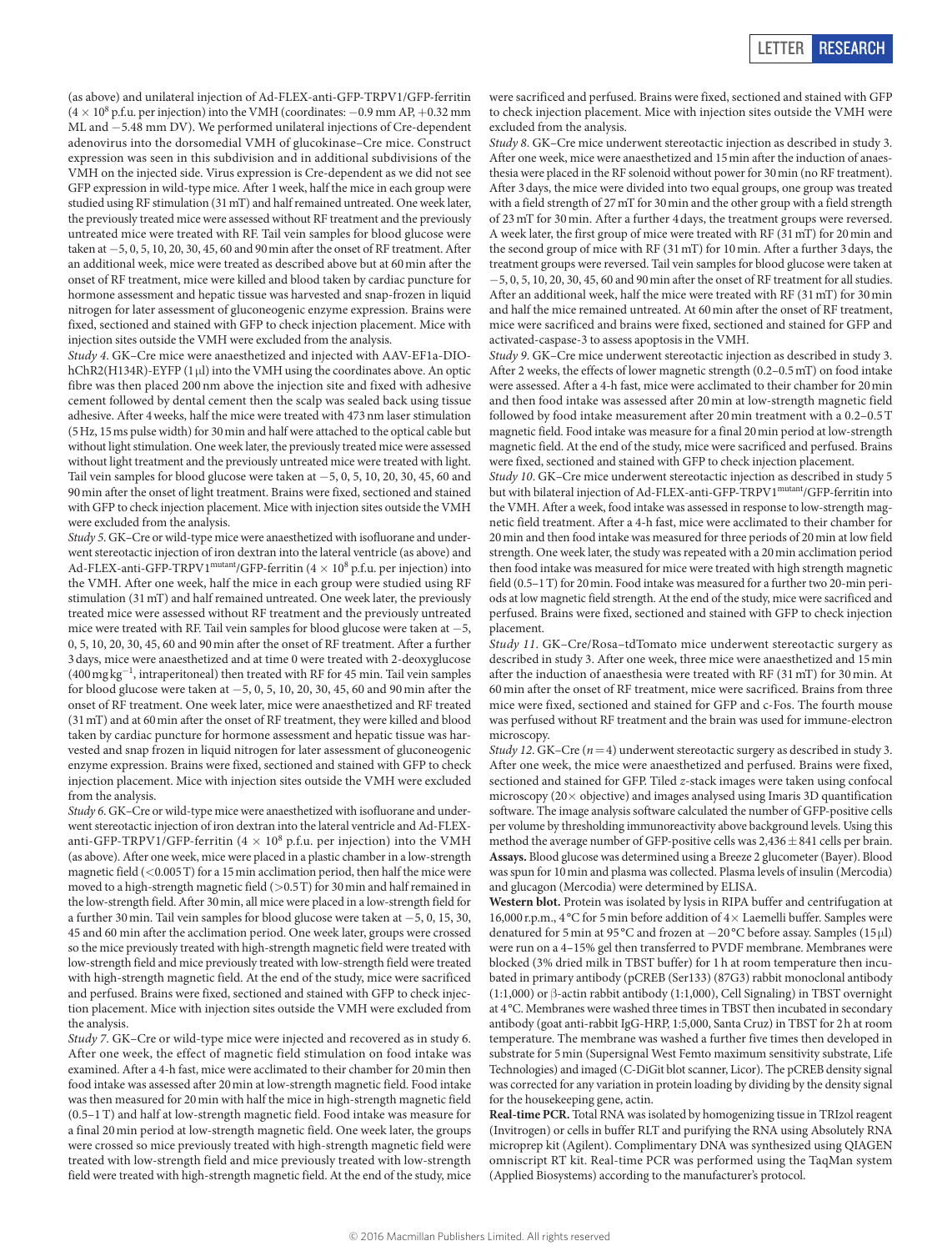(as above) and unilateral injection of Ad-FLEX-anti-GFP-TRPV1/GFP-ferritin  $(4 \times 10^8 \text{ p.f.u. per injection})$  into the VMH (coordinates:  $-0.9 \text{ mm AP}, +0.32 \text{ mm}$ ) ML and −5.48 mm DV). We performed unilateral injections of Cre-dependent adenovirus into the dorsomedial VMH of glucokinase–Cre mice. Construct expression was seen in this subdivision and in additional subdivisions of the VMH on the injected side. Virus expression is Cre-dependent as we did not see GFP expression in wild-type mice. After 1week, half the mice in each group were studied using RF stimulation (31mT) and half remained untreated. One week later, the previously treated mice were assessed without RF treatment and the previously untreated mice were treated with RF. Tail vein samples for blood glucose were taken at −5, 0, 5, 10, 20, 30, 45, 60 and 90min after the onset of RF treatment. After an additional week, mice were treated as described above but at 60min after the onset of RF treatment, mice were killed and blood taken by cardiac puncture for hormone assessment and hepatic tissue was harvested and snap-frozen in liquid nitrogen for later assessment of gluconeogenic enzyme expression. Brains were fixed, sectioned and stained with GFP to check injection placement. Mice with injection sites outside the VMH were excluded from the analysis.

*Study 4*. GK–Cre mice were anaesthetized and injected with AAV-EF1a-DIOhChR2(H134R)-EYFP (1μl) into the VMH using the coordinates above. An optic fibre was then placed 200nm above the injection site and fixed with adhesive cement followed by dental cement then the scalp was sealed back using tissue adhesive. After 4weeks, half the mice were treated with 473nm laser stimulation (5Hz, 15ms pulse width) for 30min and half were attached to the optical cable but without light stimulation. One week later, the previously treated mice were assessed without light treatment and the previously untreated mice were treated with light. Tail vein samples for blood glucose were taken at −5, 0, 5, 10, 20, 30, 45, 60 and 90min after the onset of light treatment. Brains were fixed, sectioned and stained with GFP to check injection placement. Mice with injection sites outside the VMH were excluded from the analysis.

*Study 5*. GK–Cre or wild-type mice were anaesthetized with isofluorane and underwent stereotactic injection of iron dextran into the lateral ventricle (as above) and Ad-FLEX-anti-GFP-TRPV1<sup>mutant</sup>/GFP-ferritin  $(4 \times 10^8 \text{ p.f.u. per injection})$  into the VMH. After one week, half the mice in each group were studied using RF stimulation (31mT) and half remained untreated. One week later, the previously treated mice were assessed without RF treatment and the previously untreated mice were treated with RF. Tail vein samples for blood glucose were taken at −5, 0, 5, 10, 20, 30, 45, 60 and 90min after the onset of RF treatment. After a further 3days, mice were anaesthetized and at time 0 were treated with 2-deoxyglucose (400 mg kg<sup>-1</sup>, intraperitoneal) then treated with RF for 45 min. Tail vein samples for blood glucose were taken at −5, 0, 5, 10, 20, 30, 45, 60 and 90min after the onset of RF treatment. One week later, mice were anaesthetized and RF treated (31mT) and at 60min after the onset of RF treatment, they were killed and blood taken by cardiac puncture for hormone assessment and hepatic tissue was harvested and snap frozen in liquid nitrogen for later assessment of gluconeogenic enzyme expression. Brains were fixed, sectioned and stained with GFP to check injection placement. Mice with injection sites outside the VMH were excluded from the analysis.

*Study 6*. GK–Cre or wild-type mice were anaesthetized with isofluorane and underwent stereotactic injection of iron dextran into the lateral ventricle and Ad-FLEXanti-GFP-TRPV1/GFP-ferritin ( $4 \times 10^8$  p.f.u. per injection) into the VMH (as above). After one week, mice were placed in a plastic chamber in a low-strength magnetic field  $(<0.005T)$  for a 15 min acclimation period, then half the mice were moved to a high-strength magnetic field (>0.5T) for 30min and half remained in the low-strength field. After 30min, all mice were placed in a low-strength field for a further 30min. Tail vein samples for blood glucose were taken at −5, 0, 15, 30, 45 and 60 min after the acclimation period. One week later, groups were crossed so the mice previously treated with high-strength magnetic field were treated with low-strength field and mice previously treated with low-strength field were treated with high-strength magnetic field. At the end of the study, mice were sacrificed and perfused. Brains were fixed, sectioned and stained with GFP to check injection placement. Mice with injection sites outside the VMH were excluded from the analysis.

*Study 7*. GK–Cre or wild-type mice were injected and recovered as in study 6. After one week, the effect of magnetic field stimulation on food intake was examined. After a 4-h fast, mice were acclimated to their chamber for 20min then food intake was assessed after 20min at low-strength magnetic field. Food intake was then measured for 20min with half the mice in high-strength magnetic field (0.5–1T) and half at low-strength magnetic field. Food intake was measure for a final 20min period at low-strength magnetic field. One week later, the groups were crossed so mice previously treated with high-strength magnetic field were treated with low-strength field and mice previously treated with low-strength field were treated with high-strength magnetic field. At the end of the study, mice

were sacrificed and perfused. Brains were fixed, sectioned and stained with GFP to check injection placement. Mice with injection sites outside the VMH were excluded from the analysis.

*Study 8*. GK–Cre mice underwent stereotactic injection as described in study 3. After one week, mice were anaesthetized and 15min after the induction of anaesthesia were placed in the RF solenoid without power for 30min (no RF treatment). After 3days, the mice were divided into two equal groups, one group was treated with a field strength of 27mT for 30min and the other group with a field strength of 23mT for 30min. After a further 4days, the treatment groups were reversed. A week later, the first group of mice were treated with RF (31mT) for 20min and the second group of mice with RF (31mT) for 10min. After a further 3days, the treatment groups were reversed. Tail vein samples for blood glucose were taken at −5, 0, 5, 10, 20, 30, 45, 60 and 90min after the onset of RF treatment for all studies. After an additional week, half the mice were treated with RF (31mT) for 30min and half the mice remained untreated. At 60 min after the onset of RF treatment mice were sacrificed and brains were fixed, sectioned and stained for GFP and activated-caspase-3 to assess apoptosis in the VMH.

*Study 9*. GK–Cre mice underwent stereotactic injection as described in study 3. After 2 weeks, the effects of lower magnetic strength (0.2–0.5mT) on food intake were assessed. After a 4-h fast, mice were acclimated to their chamber for 20min and then food intake was assessed after 20min at low-strength magnetic field followed by food intake measurement after 20min treatment with a 0.2–0.5T magnetic field. Food intake was measure for a final 20min period at low-strength magnetic field. At the end of the study, mice were sacrificed and perfused. Brains were fixed, sectioned and stained with GFP to check injection placement.

*Study 10*. GK–Cre mice underwent stereotactic injection as described in study 5 but with bilateral injection of Ad-FLEX-anti-GFP-TRPV1<sup>mutant</sup>/GFP-ferritin into the VMH. After a week, food intake was assessed in response to low-strength magnetic field treatment. After a 4-h fast, mice were acclimated to their chamber for 20min and then food intake was measured for three periods of 20min at low field strength. One week later, the study was repeated with a 20min acclimation period then food intake was measured for mice were treated with high strength magnetic field (0.5–1T) for 20min. Food intake was measured for a further two 20-min periods at low magnetic field strength. At the end of the study, mice were sacrificed and perfused. Brains were fixed, sectioned and stained with GFP to check injection placement.

*Study 11*. GK–Cre/Rosa–tdTomato mice underwent stereotactic surgery as described in study 3. After one week, three mice were anaesthetized and 15min after the induction of anaesthesia were treated with RF (31mT) for 30min. At 60min after the onset of RF treatment, mice were sacrificed. Brains from three mice were fixed, sectioned and stained for GFP and c-Fos. The fourth mouse was perfused without RF treatment and the brain was used for immune-electron microscopy.

*Study 12*. GK–Cre (*n*=4) underwent stereotactic surgery as described in study 3. After one week, the mice were anaesthetized and perfused. Brains were fixed, sectioned and stained for GFP. Tiled *z*-stack images were taken using confocal microscopy ( $20 \times$  objective) and images analysed using Imaris 3D quantification software. The image analysis software calculated the number of GFP-positive cells per volume by thresholding immunoreactivity above background levels. Using this method the average number of GFP-positive cells was  $2,436 \pm 841$  cells per brain. **Assays.** Blood glucose was determined using a Breeze 2 glucometer (Bayer). Blood was spun for 10min and plasma was collected. Plasma levels of insulin (Mercodia) and glucagon (Mercodia) were determined by ELISA.

**Western blot.** Protein was isolated by lysis in RIPA buffer and centrifugation at 16,000 r.p.m., 4 °C for 5 min before addition of  $4\times$  Laemelli buffer. Samples were denatured for 5min at 95 °C and frozen at −20 °C before assay. Samples (15μl) were run on a 4–15% gel then transferred to PVDF membrane. Membranes were blocked (3% dried milk in TBST buffer) for 1h at room temperature then incubated in primary antibody (pCREB (Ser133) (87G3) rabbit monoclonal antibody (1:1,000) or β-actin rabbit antibody (1:1,000), Cell Signaling) in TBST overnight at 4°C. Membranes were washed three times in TBST then incubated in secondary antibody (goat anti-rabbit IgG-HRP, 1:5,000, Santa Cruz) in TBST for 2h at room temperature. The membrane was washed a further five times then developed in substrate for 5min (Supersignal West Femto maximum sensitivity substrate, Life Technologies) and imaged (C-DiGit blot scanner, Licor). The pCREB density signal was corrected for any variation in protein loading by dividing by the density signal for the housekeeping gene, actin.

**Real-time PCR.** Total RNA was isolated by homogenizing tissue in TRIzol reagent (Invitrogen) or cells in buffer RLT and purifying the RNA using Absolutely RNA microprep kit (Agilent). Complimentary DNA was synthesized using QIAGEN omniscript RT kit. Real-time PCR was performed using the TaqMan system (Applied Biosystems) according to the manufacturer's protocol.